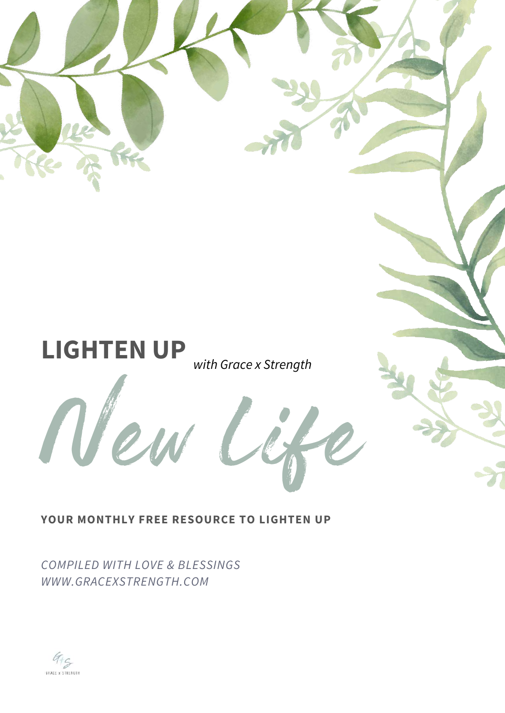# New **LIGHTEN UP** *with Grace x Strength*

#### **YOUR MONTHLY FREE RESOURCE TO LIGHTEN UP**

*COMPILED WITH LOVE & BLESSINGS WWW.GRACEXSTRENGTH.COM*

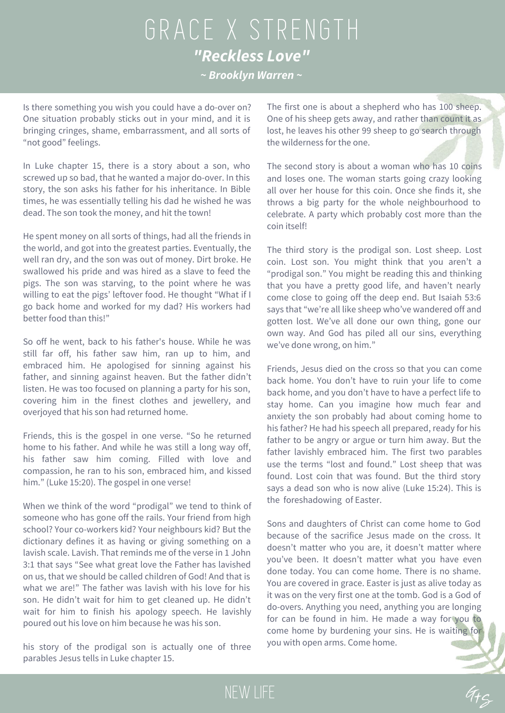## GRACE X STRENGTH *"Reckless Love" ~ Brooklyn Warren ~*

Is there something you wish you could have a do-over on? One situation probably sticks out in your mind, and it is bringing cringes, shame, embarrassment, and all sorts of "not good" feelings.

In Luke chapter 15, there is a story about a son, who screwed up so bad, that he wanted a major do-over. In this story, the son asks his father for his inheritance. In Bible times, he was essentially telling his dad he wished he was dead. The son took the money, and hit the town!

He spent money on all sorts of things, had all the friends in the world, and got into the greatest parties. Eventually, the well ran dry, and the son was out of money. Dirt broke. He swallowed his pride and was hired as a slave to feed the pigs. The son was starving, to the point where he was willing to eat the pigs' leftover food. He thought "What if I go back home and worked for my dad? His workers had better food than this!"

So off he went, back to his father's house. While he was still far off, his father saw him, ran up to him, and embraced him. He apologised for sinning against his father, and sinning against heaven. But the father didn't listen. He was too focused on planning a party for his son, covering him in the finest clothes and jewellery, and overjoyed that his son had returned home.

Friends, this is the gospel in one verse. "So he returned home to his father. And while he was still a long way off, his father saw him coming. Filled with love and compassion, he ran to his son, embraced him, and kissed him." (Luke 15:20). The gospel in one verse!

When we think of the word "prodigal" we tend to think of someone who has gone off the rails. Your friend from high school? Your co-workers kid? Your neighbours kid? But the dictionary defines it as having or giving something on a lavish scale. Lavish. That reminds me of the verse in 1 John 3:1 that says "See what great love the Father has lavished on us, that we should be called children of God! And that is what we are!" The father was lavish with his love for his son. He didn't wait for him to get cleaned up. He didn't wait for him to finish his apology speech. He lavishly poured out his love on him because he was his son.

his story of the prodigal son is actually one of three parables Jesus tells in Luke chapter 15.

NEW LIFE

The first one is about a shepherd who has 100 sheep. One of his sheep gets away, and rather than count it as lost, he leaves his other 99 sheep to go search through the wilderness for the one.

The second story is about a woman who has 10 coins and loses one. The woman starts going crazy looking all over her house for this coin. Once she finds it, she throws a big party for the whole neighbourhood to celebrate. A party which probably cost more than the coin itself!

The third story is the prodigal son. Lost sheep. Lost coin. Lost son. You might think that you aren't a "prodigal son." You might be reading this and thinking that you have a pretty good life, and haven't nearly come close to going off the deep end. But Isaiah 53:6 says that "we're all like sheep who've wandered off and gotten lost. We've all done our own thing, gone our own way. And God has piled all our sins, everything we've done wrong, on him."

Friends, Jesus died on the cross so that you can come back home. You don't have to ruin your life to come back home, and you don't have to have a perfect life to stay home. Can you imagine how much fear and anxiety the son probably had about coming home to his father? He had his speech all prepared, ready for his father to be angry or argue or turn him away. But the father lavishly embraced him. The first two parables use the terms "lost and found." Lost sheep that was found. Lost coin that was found. But the third story says a dead son who is now alive (Luke 15:24). This is the foreshadowing of Easter.

Sons and daughters of Christ can come home to God because of the sacrifice Jesus made on the cross. It doesn't matter who you are, it doesn't matter where you've been. It doesn't matter what you have even done today. You can come home. There is no shame. You are covered in grace. Easter is just as alive today as it was on the very first one at the tomb. God is a God of do-overs. Anything you need, anything you are longing for can be found in him. He made a way for you to come home by burdening your sins. He is waiting for you with open arms. Come home.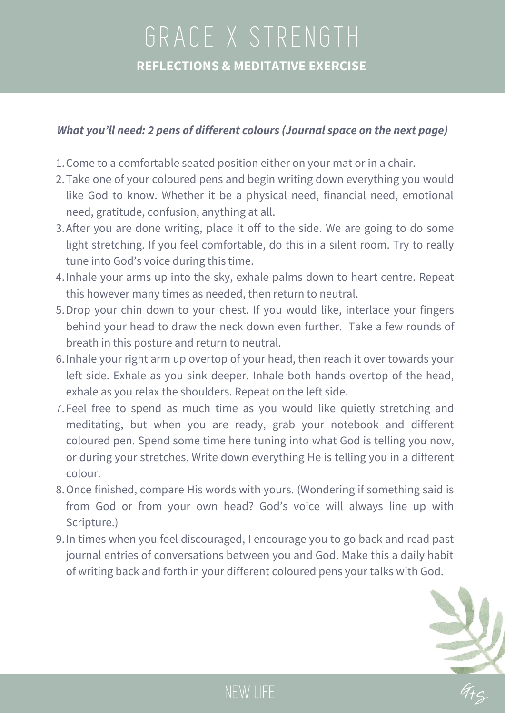## GRACE X STRENGTH **REFLECTIONS & MEDITATIVE EXERCISE**

#### *What you'll need: 2 pens of different colours (Journal space on the next page)*

- 1. Come to a comfortable seated position either on your mat or in a chair.
- Take one of your coloured pens and begin writing down everything you would 2. like God to know. Whether it be a physical need, financial need, emotional need, gratitude, confusion, anything at all.
- 3. After you are done writing, place it off to the side. We are going to do some light stretching. If you feel comfortable, do this in a silent room. Try to really tune into God's voice during this time.
- 4. Inhale your arms up into the sky, exhale palms down to heart centre. Repeat this however many times as needed, then return to neutral.
- 5. Drop your chin down to your chest. If you would like, interlace your fingers behind your head to draw the neck down even further. Take a few rounds of breath in this posture and return to neutral.
- 6. Inhale your right arm up overtop of your head, then reach it over towards your left side. Exhale as you sink deeper. Inhale both hands overtop of the head, exhale as you relax the shoulders. Repeat on the left side.
- Feel free to spend as much time as you would like quietly stretching and 7. meditating, but when you are ready, grab your notebook and different coloured pen. Spend some time here tuning into what God is telling you now, or during your stretches. Write down everything He is telling you in a different colour.
- 8. Once finished, compare His words with yours. (Wondering if something said is from God or from your own head? God's voice will always line up with Scripture.)
- 9. In times when you feel discouraged, I encourage you to go back and read past journal entries of conversations between you and God. Make this a daily habit of writing back and forth in your different coloured pens your talks with God.



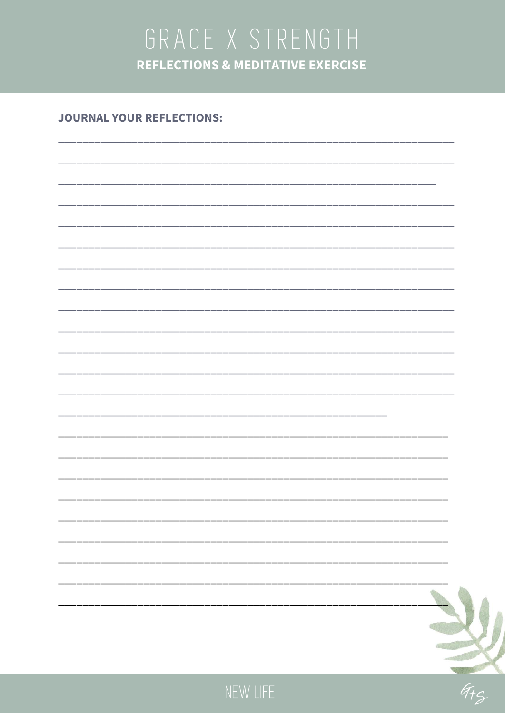## GRACE X STRENGTH **REFLECTIONS & MEDITATIVE EXERCISE**

#### **JOURNAL YOUR REFLECTIONS:**



**RATION**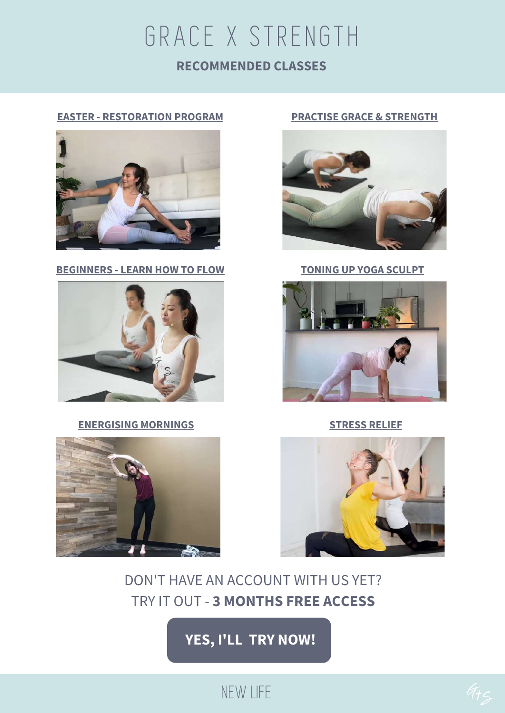## NEW LIFE

#### **[YES,](https://www.gracexstrength.com/register/) I'LL [T](https://www.gracexstrength.com/register/)RY [NOW!](https://www.gracexstrength.com/register/)**

### DON'T HAVE AN ACCOUNT WITH US YET? TRY IT OUT - **3 MONTHS FREE ACCESS**









# **EASTER - [RESTORATION](https://www.gracexstrength.com/restoration-program/) PROGRAM**

GRACE X STRENGTH

**RECOMMENDED CLASSES**







**PRACTISE GRACE & [STRENGTH](https://www.gracexstrength.com/premium-yoga-video/practise-grace-when-its-hard/)**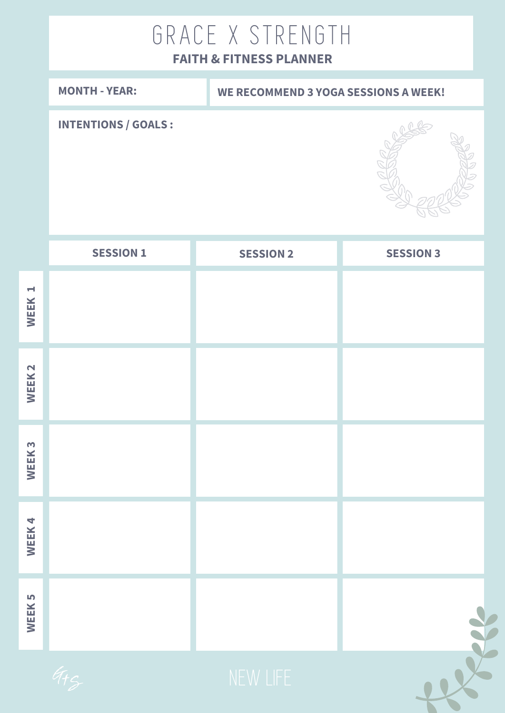## GRACE X STRENGTH

### **FAITH & FITNESS PLANNER**

|                               | <b>MONTH - YEAR:</b>        | <b>WE RECOMMEND 3 YOGA SESSIONS A WEEK!</b> |                  |  |  |  |
|-------------------------------|-----------------------------|---------------------------------------------|------------------|--|--|--|
|                               | <b>INTENTIONS / GOALS :</b> |                                             |                  |  |  |  |
|                               | <b>SESSION 1</b>            | <b>SESSION 2</b>                            | <b>SESSION 3</b> |  |  |  |
| $\blacktriangleright$<br>WEEK |                             |                                             |                  |  |  |  |
| WEEK <sub>2</sub>             |                             |                                             |                  |  |  |  |
| WEEK <sub>3</sub>             |                             |                                             |                  |  |  |  |
| WEEK4                         |                             |                                             |                  |  |  |  |
| WEEK <sub>5</sub>             |                             |                                             |                  |  |  |  |
|                               |                             |                                             |                  |  |  |  |

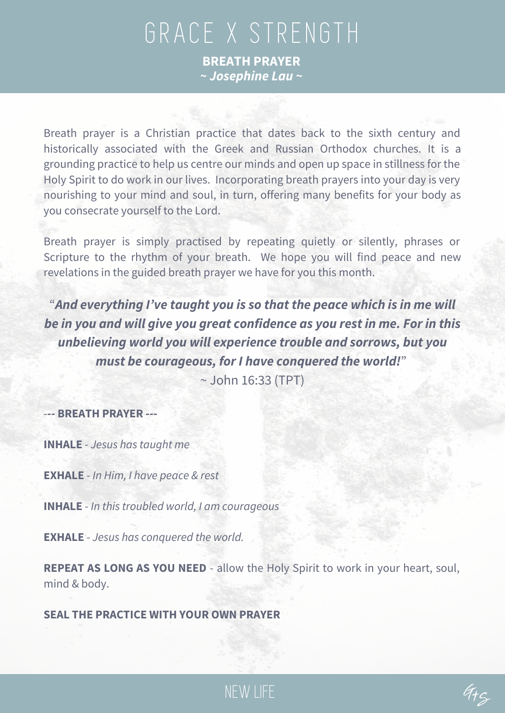## GRACE X STRENGTH **BREATH PRAYER**

*~ Josephine Lau ~*

Breath prayer is a Christian practice that dates back to the sixth century and historically associated with the Greek and Russian Orthodox churches. It is a grounding practice to help us centre our minds and open up space in stillness for the Holy Spirit to do work in our lives. Incorporating breath prayers into your day is very nourishing to your mind and soul, in turn, offering many benefits for your body as you consecrate yourself to the Lord.

Breath prayer is simply practised by repeating quietly or silently, phrases or Scripture to the rhythm of your breath. We hope you will find peace and new revelations in the guided breath prayer we have for you this month.

"*And everything I've taught you is so that the peace which is in me will be in you and will give you great confidence as you rest in me. For in this unbelieving world you will experience trouble and sorrows, but you must be courageous, for I have conquered the world!*" ~ John 16:33 (TPT)

-**-- BREATH PRAYER ---**

**INHALE** - *Jesus has taught me*

**EXHALE** - *In Him, I have peace & rest*

**INHALE** - *In this troubled world, I am courageous*

**EXHALE** - *Jesus has conquered the world.*

**REPEAT AS LONG AS YOU NEED** - allow the Holy Spirit to work in your heart, soul, mind & body.

NEW LIFE

**SEAL THE PRACTICE WITH YOUR OWN PRAYER**

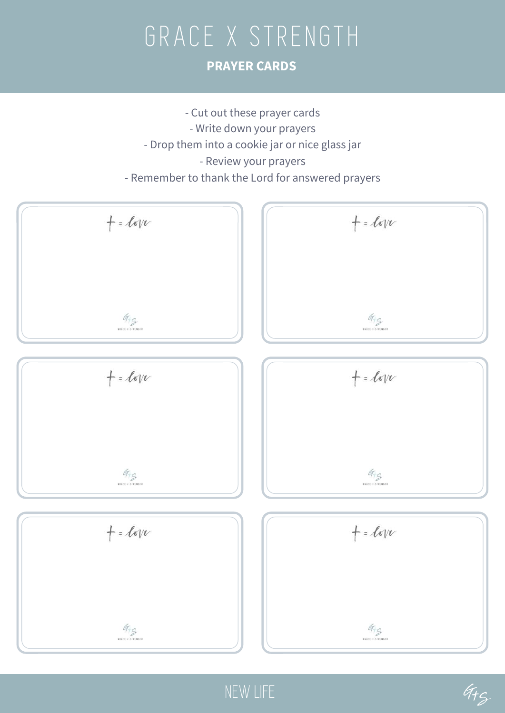## GRACE X STRENGTH **PRAYER CARDS**



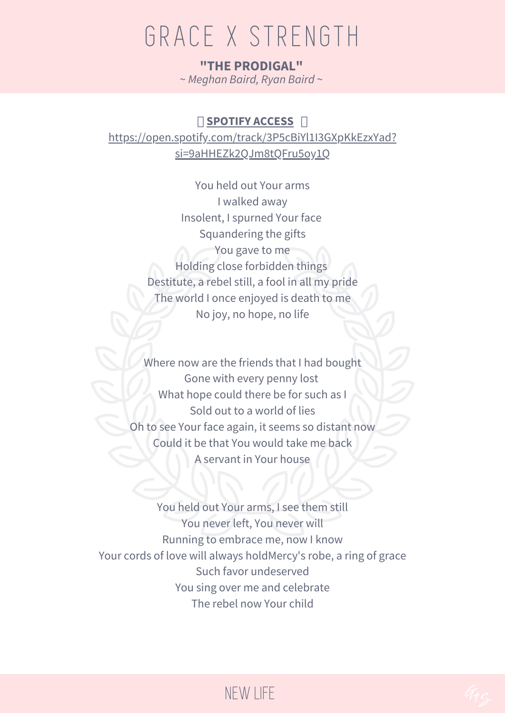## GRACE X STRENGTH

UTTTU LE TERODIGAL"<br>
"THE PRODIGAL"<br>
Weahan Baird Ryan Baird ~ **"THE PRODIGAL"** ~ *Meghan Baird, Ryan Baird* ~

#### **NO[SPOTIFY](https://open.spotify.com/track/3QgqMVZdqHdY8e7r7IUBww) ACCE[S](https://open.spotify.com/track/3QgqMVZdqHdY8e7r7IUBww)S N**

[https://open.spotify.com/track/3P5cBiYl1I3GXpKkEzxYad?](https://open.spotify.com/track/3P5cBiYl1I3GXpKkEzxYad?si=9aHHEZk2QJm8tQFru5oy1Q) si=9aHHEZk2QJm8tQFru5oy1Q

> You held out Your arms I walked away Insolent, I spurned Your face Squandering the gifts You gave to me Holding close forbidden things Destitute, a rebel still, a fool in all my pride The world I once enjoyed is death to me No joy, no hope, no life

Where now are the friends that I had bought Gone with every penny lost What hope could there be for such as I Sold out to a world of lies Oh to see Your face again, it seems so distant now Could it be that You would take me back A servant in Your house

You held out Your arms, I see them still You never left, You never will Running to embrace me, now I know Your cords of love will always holdMercy's robe, a ring of grace Such favor undeserved You sing over me and celebrate The rebel now Your child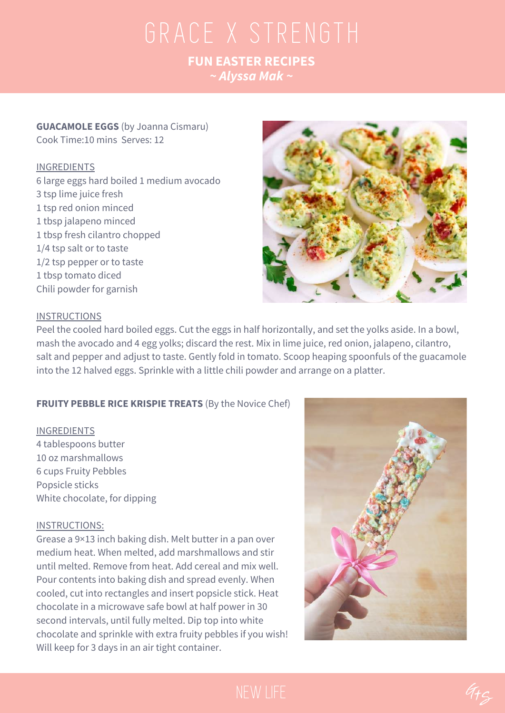## $FUN EASTER RECIPES$ <br> $\sim Alyssa Mak \sim$ **FUN EASTER RECIPES** *~ Alyssa Mak ~*

#### **GUACAMOLE EGGS** (by Joanna Cismaru) Cook Time:10 mins Serves: 12

#### INGREDIENTS

 large eggs hard boiled 1 medium avocado tsp lime juice fresh tsp red onion minced tbsp jalapeno minced tbsp fresh cilantro chopped 1/4 tsp salt or to taste 1/2 tsp pepper or to taste tbsp tomato diced Chili powder for garnish



#### **INSTRUCTIONS**

Peel the cooled hard boiled eggs. Cut the eggs in half horizontally, and set the yolks aside. In a bowl, mash the avocado and 4 egg yolks; discard the rest. Mix in lime juice, red onion, jalapeno, cilantro, salt and pepper and adjust to taste. Gently fold in tomato. Scoop heaping spoonfuls of the guacamole into the 12 halved eggs. Sprinkle with a little chili powder and arrange on a platter.

#### **FRUITY PEBBLE RICE KRISPIE TREATS** (By the Novice Chef)

#### INGREDIENTS

4 tablespoons butter 10 oz marshmallows 6 cups Fruity Pebbles Popsicle sticks White chocolate, for dipping

#### INSTRUCTIONS:

Grease a 9×13 inch baking dish. Melt butter in a pan over medium heat. When melted, add marshmallows and stir until melted. Remove from heat. Add cereal and mix well. Pour contents into baking dish and spread evenly. When cooled, cut into rectangles and insert popsicle stick. Heat chocolate in a microwave safe bowl at half power in 30 second intervals, until fully melted. Dip top into white chocolate and sprinkle with extra fruity pebbles if you wish! Will keep for 3 days in an air tight container.